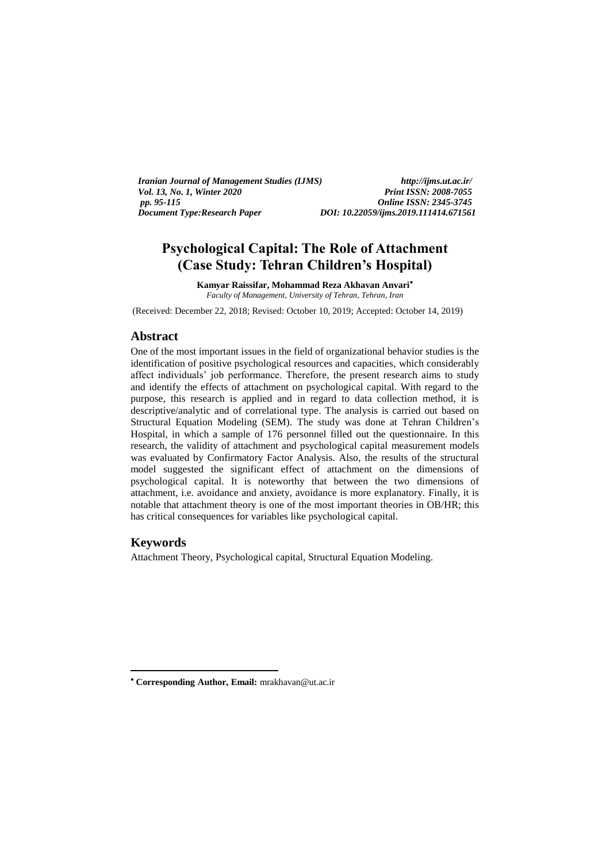*Iranian Journal of Management Studies (IJMS) http://ijms.ut.ac.ir/ Vol. 13, No. 1, Winter 2020 Print ISSN: 2008-7055*<br>*pp. 95-115 Online ISSN: 2345-3745 pp. 95-115 Online ISSN: 2345-3745 Document Type:Research Paper DOI: 10.22059/ijms.2019.111414.671561*

# **Psychological Capital: The Role of Attachment (Case Study: Tehran Children's Hospital)**

**Kamyar Raissifar, Mohammad Reza Akhavan Anvari** *Faculty of Management, University of Tehran, Tehran, Iran*

(Received: December 22, 2018; Revised: October 10, 2019; Accepted: October 14, 2019)

## **Abstract**

One of the most important issues in the field of organizational behavior studies is the identification of positive psychological resources and capacities, which considerably affect individuals' job performance. Therefore, the present research aims to study and identify the effects of attachment on psychological capital. With regard to the purpose, this research is applied and in regard to data collection method, it is descriptive/analytic and of correlational type. The analysis is carried out based on Structural Equation Modeling (SEM). The study was done at Tehran Children's Hospital, in which a sample of 176 personnel filled out the questionnaire. In this research, the validity of attachment and psychological capital measurement models was evaluated by Confirmatory Factor Analysis. Also, the results of the structural model suggested the significant effect of attachment on the dimensions of psychological capital. It is noteworthy that between the two dimensions of attachment, i.e. avoidance and anxiety, avoidance is more explanatory. Finally, it is notable that attachment theory is one of the most important theories in OB/HR; this has critical consequences for variables like psychological capital.

## **Keywords**

<u>.</u>

Attachment Theory, Psychological capital, Structural Equation Modeling.

**Corresponding Author, Email:** mrakhavan@ut.ac.ir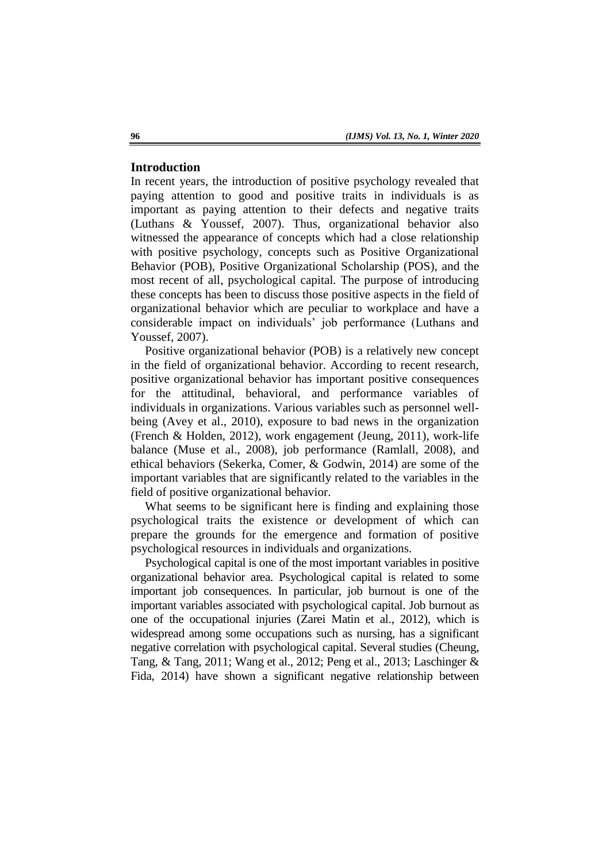### **Introduction**

In recent years, the introduction of positive psychology revealed that paying attention to good and positive traits in individuals is as important as paying attention to their defects and negative traits (Luthans & Youssef, 2007). Thus, organizational behavior also witnessed the appearance of concepts which had a close relationship with positive psychology, concepts such as Positive Organizational Behavior (POB), Positive Organizational Scholarship (POS), and the most recent of all, psychological capital. The purpose of introducing these concepts has been to discuss those positive aspects in the field of organizational behavior which are peculiar to workplace and have a considerable impact on individuals' job performance (Luthans and Youssef, 2007).

Positive organizational behavior (POB) is a relatively new concept in the field of organizational behavior. According to recent research, positive organizational behavior has important positive consequences for the attitudinal, behavioral, and performance variables of individuals in organizations. Various variables such as personnel wellbeing (Avey et al., 2010), exposure to bad news in the organization (French & Holden, 2012), work engagement (Jeung, 2011), work-life balance (Muse et al., 2008), job performance (Ramlall, 2008), and ethical behaviors (Sekerka, Comer, & Godwin, 2014) are some of the important variables that are significantly related to the variables in the field of positive organizational behavior.

What seems to be significant here is finding and explaining those psychological traits the existence or development of which can prepare the grounds for the emergence and formation of positive psychological resources in individuals and organizations.

Psychological capital is one of the most important variables in positive organizational behavior area. Psychological capital is related to some important job consequences. In particular, job burnout is one of the important variables associated with psychological capital. Job burnout as one of the occupational injuries (Zarei Matin et al., 2012), which is widespread among some occupations such as nursing, has a significant negative correlation with psychological capital. Several studies (Cheung, Tang, & Tang, 2011; Wang et al., 2012; Peng et al., 2013; Laschinger & Fida, 2014) have shown a significant negative relationship between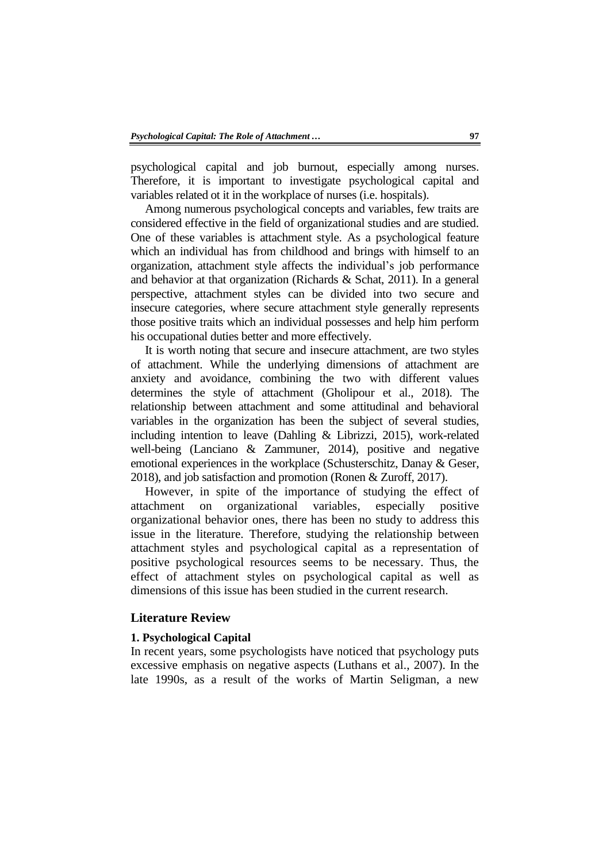psychological capital and job burnout, especially among nurses. Therefore, it is important to investigate psychological capital and variables related ot it in the workplace of nurses (i.e. hospitals).

Among numerous psychological concepts and variables, few traits are considered effective in the field of organizational studies and are studied. One of these variables is attachment style. As a psychological feature which an individual has from childhood and brings with himself to an organization, attachment style affects the individual's job performance and behavior at that organization (Richards & Schat, 2011). In a general perspective, attachment styles can be divided into two secure and insecure categories, where secure attachment style generally represents those positive traits which an individual possesses and help him perform his occupational duties better and more effectively.

It is worth noting that secure and insecure attachment, are two styles of attachment. While the underlying dimensions of attachment are anxiety and avoidance, combining the two with different values determines the style of attachment (Gholipour et al., 2018). The relationship between attachment and some attitudinal and behavioral variables in the organization has been the subject of several studies, including intention to leave (Dahling & Librizzi, 2015), work-related well-being (Lanciano & Zammuner, 2014), positive and negative emotional experiences in the workplace (Schusterschitz, Danay & Geser, 2018), and job satisfaction and promotion (Ronen & Zuroff, 2017).

However, in spite of the importance of studying the effect of attachment on organizational variables, especially positive organizational behavior ones, there has been no study to address this issue in the literature. Therefore, studying the relationship between attachment styles and psychological capital as a representation of positive psychological resources seems to be necessary. Thus, the effect of attachment styles on psychological capital as well as dimensions of this issue has been studied in the current research.

## **Literature Review**

#### **1. Psychological Capital**

In recent years, some psychologists have noticed that psychology puts excessive emphasis on negative aspects (Luthans et al., 2007). In the late 1990s, as a result of the works of Martin Seligman, a new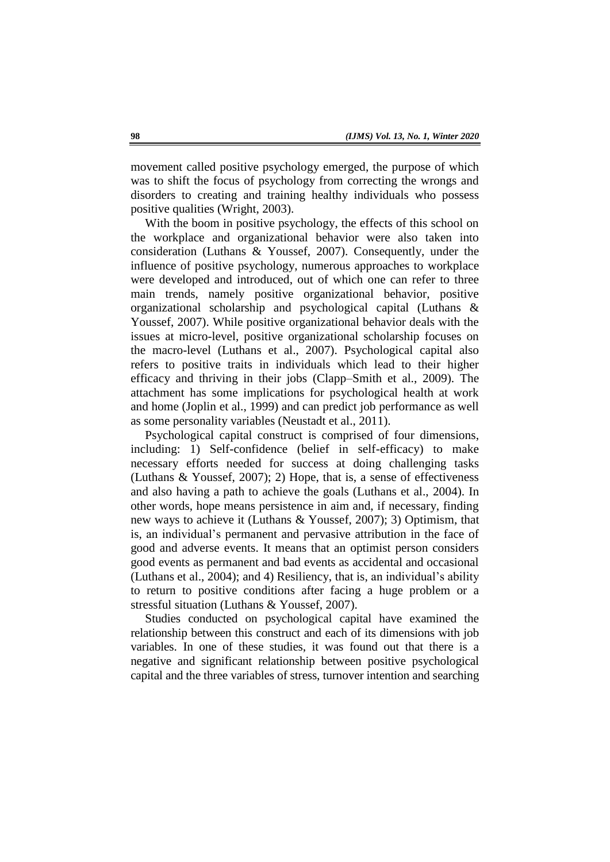movement called positive psychology emerged, the purpose of which was to shift the focus of psychology from correcting the wrongs and disorders to creating and training healthy individuals who possess positive qualities (Wright, 2003).

With the boom in positive psychology, the effects of this school on the workplace and organizational behavior were also taken into consideration (Luthans & Youssef, 2007). Consequently, under the influence of positive psychology, numerous approaches to workplace were developed and introduced, out of which one can refer to three main trends, namely positive organizational behavior, positive organizational scholarship and psychological capital (Luthans & Youssef, 2007). While positive organizational behavior deals with the issues at micro-level, positive organizational scholarship focuses on the macro-level (Luthans et al., 2007). Psychological capital also refers to positive traits in individuals which lead to their higher efficacy and thriving in their jobs (Clapp–Smith et al., 2009). The attachment has some implications for psychological health at work and home (Joplin et al., 1999) and can predict job performance as well as some personality variables (Neustadt et al., 2011).

Psychological capital construct is comprised of four dimensions, including: 1) Self-confidence (belief in self-efficacy) to make necessary efforts needed for success at doing challenging tasks (Luthans & Youssef, 2007); 2) Hope, that is, a sense of effectiveness and also having a path to achieve the goals (Luthans et al., 2004). In other words, hope means persistence in aim and, if necessary, finding new ways to achieve it (Luthans & Youssef, 2007); 3) Optimism, that is, an individual's permanent and pervasive attribution in the face of good and adverse events. It means that an optimist person considers good events as permanent and bad events as accidental and occasional (Luthans et al., 2004); and 4) Resiliency, that is, an individual's ability to return to positive conditions after facing a huge problem or a stressful situation (Luthans & Youssef, 2007).

Studies conducted on psychological capital have examined the relationship between this construct and each of its dimensions with job variables. In one of these studies, it was found out that there is a negative and significant relationship between positive psychological capital and the three variables of stress, turnover intention and searching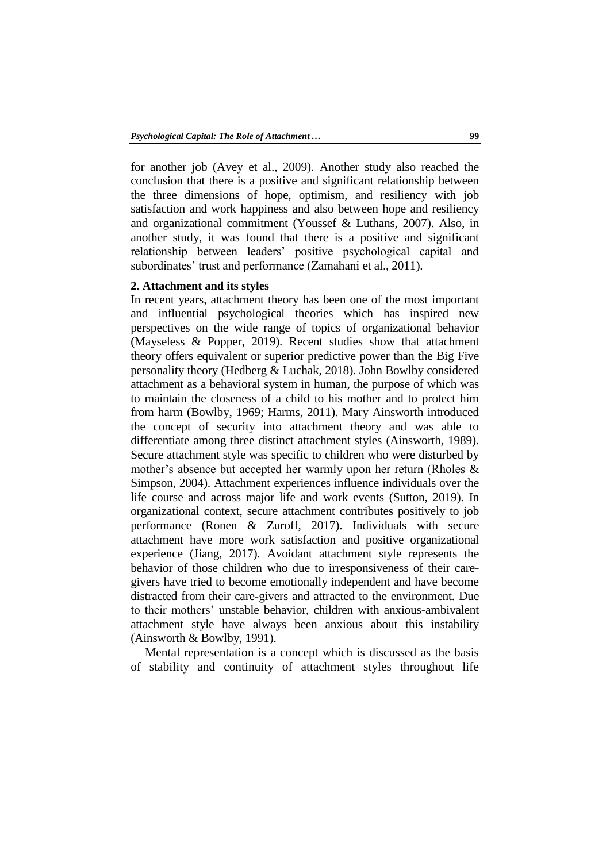for another job (Avey et al., 2009). Another study also reached the conclusion that there is a positive and significant relationship between the three dimensions of hope, optimism, and resiliency with job satisfaction and work happiness and also between hope and resiliency and organizational commitment (Youssef & Luthans, 2007). Also, in another study, it was found that there is a positive and significant relationship between leaders' positive psychological capital and subordinates' trust and performance (Zamahani et al., 2011).

## **2. Attachment and its styles**

In recent years, attachment theory has been one of the most important and influential psychological theories which has inspired new perspectives on the wide range of topics of organizational behavior (Mayseless & Popper, 2019). Recent studies show that attachment theory offers equivalent or superior predictive power than the Big Five personality theory (Hedberg & Luchak, 2018). John Bowlby considered attachment as a behavioral system in human, the purpose of which was to maintain the closeness of a child to his mother and to protect him from harm (Bowlby, 1969; Harms, 2011). Mary Ainsworth introduced the concept of security into attachment theory and was able to differentiate among three distinct attachment styles (Ainsworth, 1989). Secure attachment style was specific to children who were disturbed by mother's absence but accepted her warmly upon her return (Rholes & Simpson, 2004). Attachment experiences influence individuals over the life course and across major life and work events (Sutton, 2019). In organizational context, secure attachment contributes positively to job performance (Ronen & Zuroff, 2017). Individuals with secure attachment have more work satisfaction and positive organizational experience (Jiang, 2017). Avoidant attachment style represents the behavior of those children who due to irresponsiveness of their caregivers have tried to become emotionally independent and have become distracted from their care-givers and attracted to the environment. Due to their mothers' unstable behavior, children with anxious-ambivalent attachment style have always been anxious about this instability (Ainsworth & Bowlby, 1991).

Mental representation is a concept which is discussed as the basis of stability and continuity of attachment styles throughout life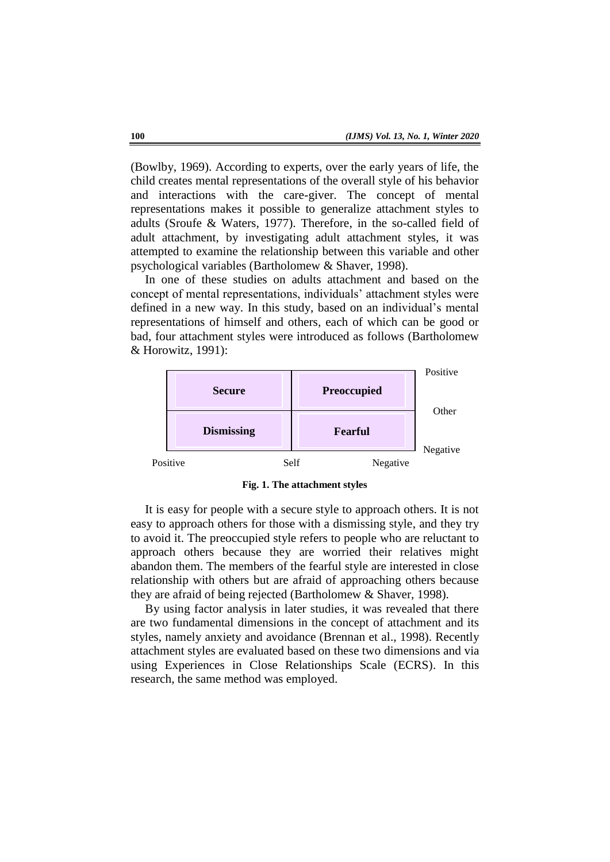(Bowlby, 1969). According to experts, over the early years of life, the child creates mental representations of the overall style of his behavior and interactions with the care-giver. The concept of mental representations makes it possible to generalize attachment styles to adults (Sroufe & Waters, 1977). Therefore, in the so-called field of adult attachment, by investigating adult attachment styles, it was attempted to examine the relationship between this variable and other psychological variables (Bartholomew & Shaver, 1998).

In one of these studies on adults attachment and based on the concept of mental representations, individuals' attachment styles were defined in a new way. In this study, based on an individual's mental representations of himself and others, each of which can be good or bad, four attachment styles were introduced as follows (Bartholomew & Horowitz, 1991):



**Fig. 1. The attachment styles**

It is easy for people with a secure style to approach others. It is not easy to approach others for those with a dismissing style, and they try to avoid it. The preoccupied style refers to people who are reluctant to approach others because they are worried their relatives might abandon them. The members of the fearful style are interested in close relationship with others but are afraid of approaching others because they are afraid of being rejected (Bartholomew & Shaver, 1998).

By using factor analysis in later studies, it was revealed that there are two fundamental dimensions in the concept of attachment and its styles, namely anxiety and avoidance (Brennan et al., 1998). Recently attachment styles are evaluated based on these two dimensions and via using Experiences in Close Relationships Scale (ECRS). In this research, the same method was employed.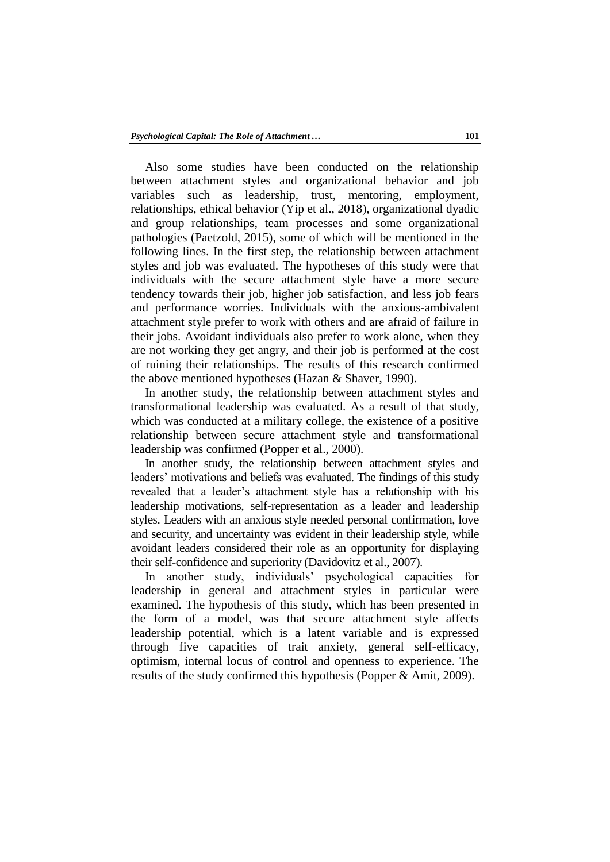Also some studies have been conducted on the relationship between attachment styles and organizational behavior and job variables such as leadership, trust, mentoring, employment, relationships, ethical behavior (Yip et al., 2018), organizational dyadic and group relationships, team processes and some organizational pathologies (Paetzold, 2015), some of which will be mentioned in the following lines. In the first step, the relationship between attachment styles and job was evaluated. The hypotheses of this study were that individuals with the secure attachment style have a more secure tendency towards their job, higher job satisfaction, and less job fears and performance worries. Individuals with the anxious-ambivalent attachment style prefer to work with others and are afraid of failure in their jobs. Avoidant individuals also prefer to work alone, when they are not working they get angry, and their job is performed at the cost of ruining their relationships. The results of this research confirmed the above mentioned hypotheses (Hazan & Shaver, 1990).

In another study, the relationship between attachment styles and transformational leadership was evaluated. As a result of that study, which was conducted at a military college, the existence of a positive relationship between secure attachment style and transformational leadership was confirmed (Popper et al., 2000).

In another study, the relationship between attachment styles and leaders' motivations and beliefs was evaluated. The findings of this study revealed that a leader's attachment style has a relationship with his leadership motivations, self-representation as a leader and leadership styles. Leaders with an anxious style needed personal confirmation, love and security, and uncertainty was evident in their leadership style, while avoidant leaders considered their role as an opportunity for displaying their self-confidence and superiority (Davidovitz et al., 2007).

In another study, individuals' psychological capacities for leadership in general and attachment styles in particular were examined. The hypothesis of this study, which has been presented in the form of a model, was that secure attachment style affects leadership potential, which is a latent variable and is expressed through five capacities of trait anxiety, general self-efficacy, optimism, internal locus of control and openness to experience. The results of the study confirmed this hypothesis (Popper & Amit, 2009).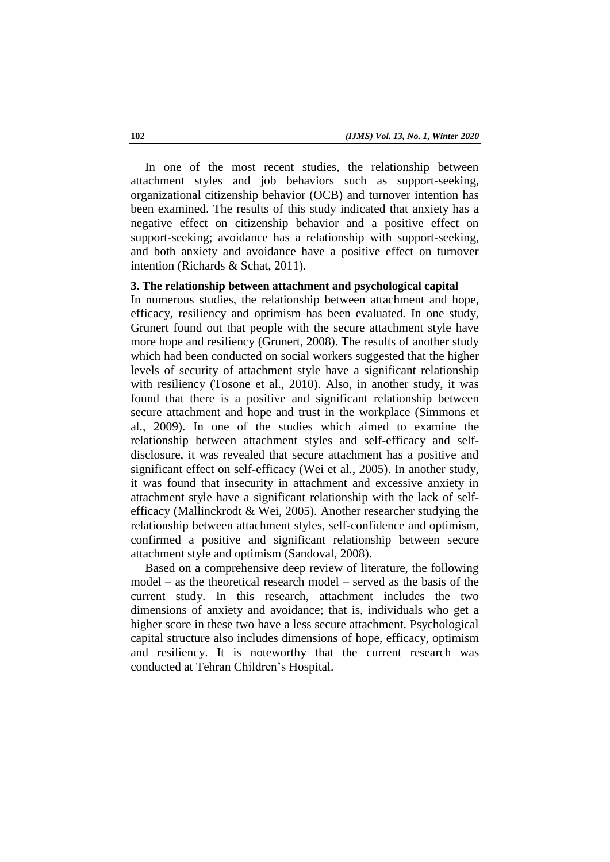In one of the most recent studies, the relationship between attachment styles and job behaviors such as support-seeking, organizational citizenship behavior (OCB) and turnover intention has been examined. The results of this study indicated that anxiety has a negative effect on citizenship behavior and a positive effect on support-seeking; avoidance has a relationship with support-seeking, and both anxiety and avoidance have a positive effect on turnover intention (Richards & Schat, 2011).

## **3. The relationship between attachment and psychological capital**

In numerous studies, the relationship between attachment and hope, efficacy, resiliency and optimism has been evaluated. In one study, Grunert found out that people with the secure attachment style have more hope and resiliency (Grunert, 2008). The results of another study which had been conducted on social workers suggested that the higher levels of security of attachment style have a significant relationship with resiliency (Tosone et al., 2010). Also, in another study, it was found that there is a positive and significant relationship between secure attachment and hope and trust in the workplace (Simmons et al., 2009). In one of the studies which aimed to examine the relationship between attachment styles and self-efficacy and selfdisclosure, it was revealed that secure attachment has a positive and significant effect on self-efficacy (Wei et al., 2005). In another study, it was found that insecurity in attachment and excessive anxiety in attachment style have a significant relationship with the lack of selfefficacy (Mallinckrodt & Wei, 2005). Another researcher studying the relationship between attachment styles, self-confidence and optimism, confirmed a positive and significant relationship between secure attachment style and optimism (Sandoval, 2008).

Based on a comprehensive deep review of literature, the following model – as the theoretical research model – served as the basis of the current study. In this research, attachment includes the two dimensions of anxiety and avoidance; that is, individuals who get a higher score in these two have a less secure attachment. Psychological capital structure also includes dimensions of hope, efficacy, optimism and resiliency. It is noteworthy that the current research was conducted at Tehran Children's Hospital.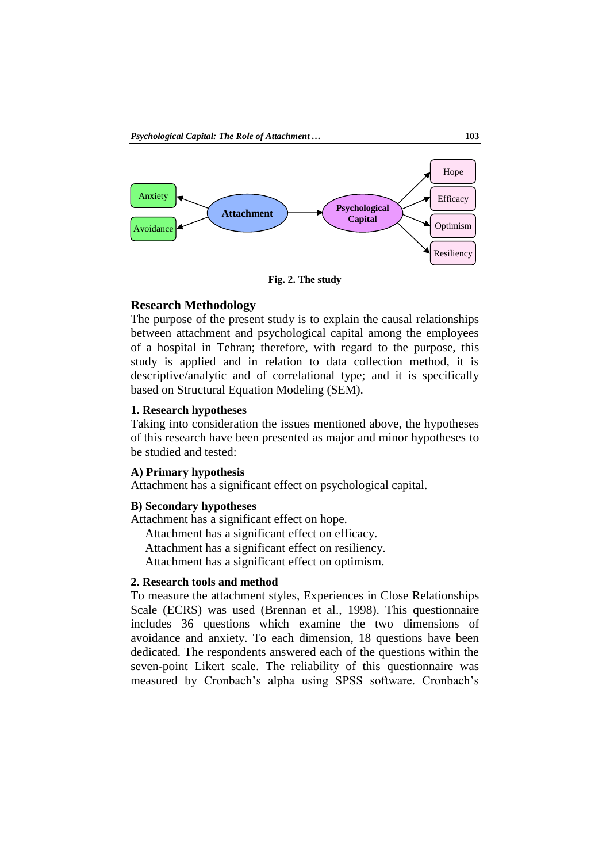

**Fig. 2. The study** 

## **Research Methodology**

The purpose of the present study is to explain the causal relationships between attachment and psychological capital among the employees of a hospital in Tehran; therefore, with regard to the purpose, this study is applied and in relation to data collection method, it is descriptive/analytic and of correlational type; and it is specifically based on Structural Equation Modeling (SEM).

#### **1. Research hypotheses**

Taking into consideration the issues mentioned above, the hypotheses of this research have been presented as major and minor hypotheses to be studied and tested:

#### **A) Primary hypothesis**

Attachment has a significant effect on psychological capital.

#### **B) Secondary hypotheses**

Attachment has a significant effect on hope.

Attachment has a significant effect on efficacy.

Attachment has a significant effect on resiliency.

Attachment has a significant effect on optimism.

### **2. Research tools and method**

To measure the attachment styles, Experiences in Close Relationships Scale (ECRS) was used (Brennan et al., 1998). This questionnaire includes 36 questions which examine the two dimensions of avoidance and anxiety. To each dimension, 18 questions have been dedicated. The respondents answered each of the questions within the seven-point Likert scale. The reliability of this questionnaire was measured by Cronbach's alpha using SPSS software. Cronbach's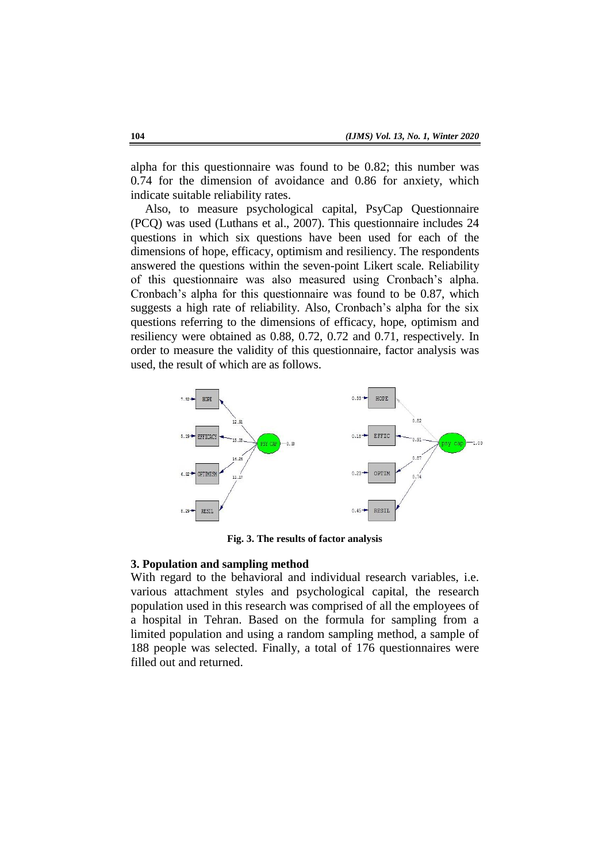alpha for this questionnaire was found to be 0.82; this number was 0.74 for the dimension of avoidance and 0.86 for anxiety, which indicate suitable reliability rates.

Also, to measure psychological capital, PsyCap Questionnaire (PCQ) was used (Luthans et al., 2007). This questionnaire includes 24 questions in which six questions have been used for each of the dimensions of hope, efficacy, optimism and resiliency. The respondents answered the questions within the seven-point Likert scale. Reliability of this questionnaire was also measured using Cronbach's alpha. Cronbach's alpha for this questionnaire was found to be 0.87, which suggests a high rate of reliability. Also, Cronbach's alpha for the six questions referring to the dimensions of efficacy, hope, optimism and resiliency were obtained as 0.88, 0.72, 0.72 and 0.71, respectively. In order to measure the validity of this questionnaire, factor analysis was used, the result of which are as follows.



**Fig. 3. The results of factor analysis**

#### **3. Population and sampling method**

With regard to the behavioral and individual research variables, i.e. various attachment styles and psychological capital, the research population used in this research was comprised of all the employees of a hospital in Tehran. Based on the formula for sampling from a limited population and using a random sampling method, a sample of 188 people was selected. Finally, a total of 176 questionnaires were filled out and returned.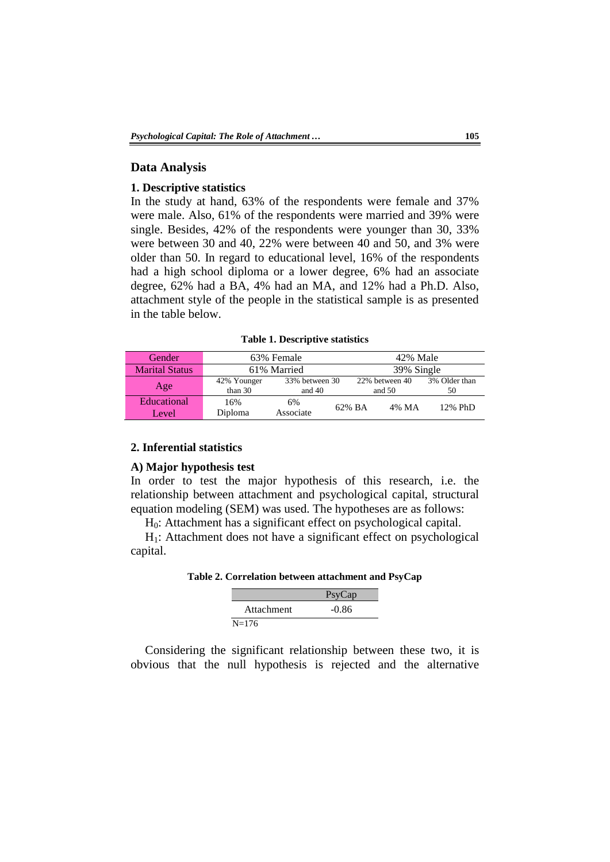### **Data Analysis**

### **1. Descriptive statistics**

In the study at hand, 63% of the respondents were female and 37% were male. Also, 61% of the respondents were married and 39% were single. Besides, 42% of the respondents were younger than 30, 33% were between 30 and 40, 22% were between 40 and 50, and 3% were older than 50. In regard to educational level, 16% of the respondents had a high school diploma or a lower degree, 6% had an associate degree, 62% had a BA, 4% had an MA, and 12% had a Ph.D. Also, attachment style of the people in the statistical sample is as presented in the table below.

**Table 1. Descriptive statistics**

| Gender                | 63% Female             |                            |        | 42% Male                   |       |                     |  |
|-----------------------|------------------------|----------------------------|--------|----------------------------|-------|---------------------|--|
| <b>Marital Status</b> | 61% Married            |                            |        | 39% Single                 |       |                     |  |
| Age                   | 42% Younger<br>than 30 | 33% between 30<br>and $40$ |        | 22% between 40<br>and $50$ |       | 3% Older than<br>50 |  |
| Educational<br>Level  | 16%<br>Diploma         | 6%<br>Associate            | 62% BA |                            | 4% MA | 12% PhD             |  |

### **2. Inferential statistics**

#### **A) Major hypothesis test**

In order to test the major hypothesis of this research, i.e. the relationship between attachment and psychological capital, structural equation modeling (SEM) was used. The hypotheses are as follows:

H0: Attachment has a significant effect on psychological capital.

 $H<sub>1</sub>$ : Attachment does not have a significant effect on psychological capital.

**Table 2. Correlation between attachment and PsyCap**

|            | PsyCap  |  |  |
|------------|---------|--|--|
| Attachment | $-0.86$ |  |  |
| $N = 176$  |         |  |  |

Considering the significant relationship between these two, it is obvious that the null hypothesis is rejected and the alternative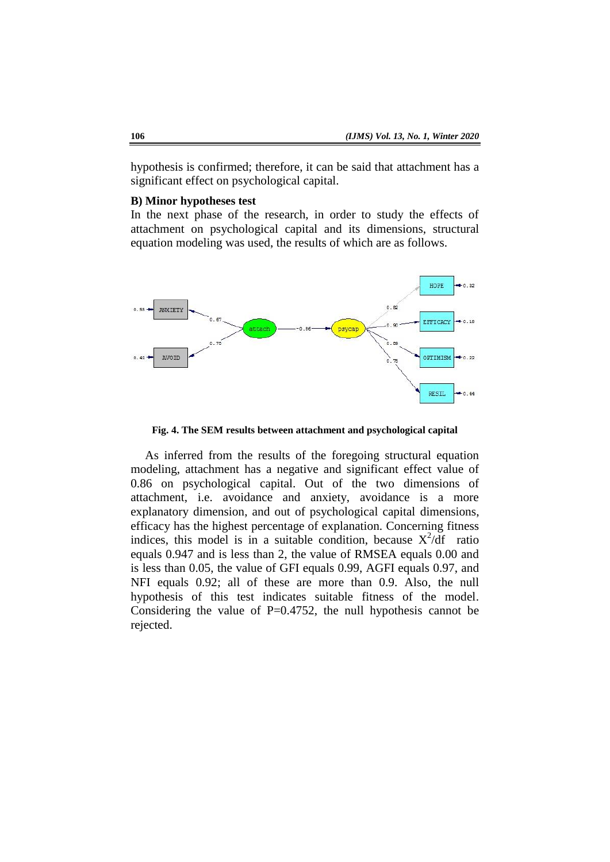hypothesis is confirmed; therefore, it can be said that attachment has a significant effect on psychological capital.

### **B) Minor hypotheses test**

In the next phase of the research, in order to study the effects of attachment on psychological capital and its dimensions, structural equation modeling was used, the results of which are as follows.



**Fig. 4. The SEM results between attachment and psychological capital**

As inferred from the results of the foregoing structural equation modeling, attachment has a negative and significant effect value of 0.86 on psychological capital. Out of the two dimensions of attachment, i.e. avoidance and anxiety, avoidance is a more explanatory dimension, and out of psychological capital dimensions, efficacy has the highest percentage of explanation. Concerning fitness indices, this model is in a suitable condition, because  $X^2/df$  ratio equals 0.947 and is less than 2, the value of RMSEA equals 0.00 and is less than 0.05, the value of GFI equals 0.99, AGFI equals 0.97, and NFI equals 0.92; all of these are more than 0.9. Also, the null hypothesis of this test indicates suitable fitness of the model. Considering the value of  $P=0.4752$ , the null hypothesis cannot be rejected.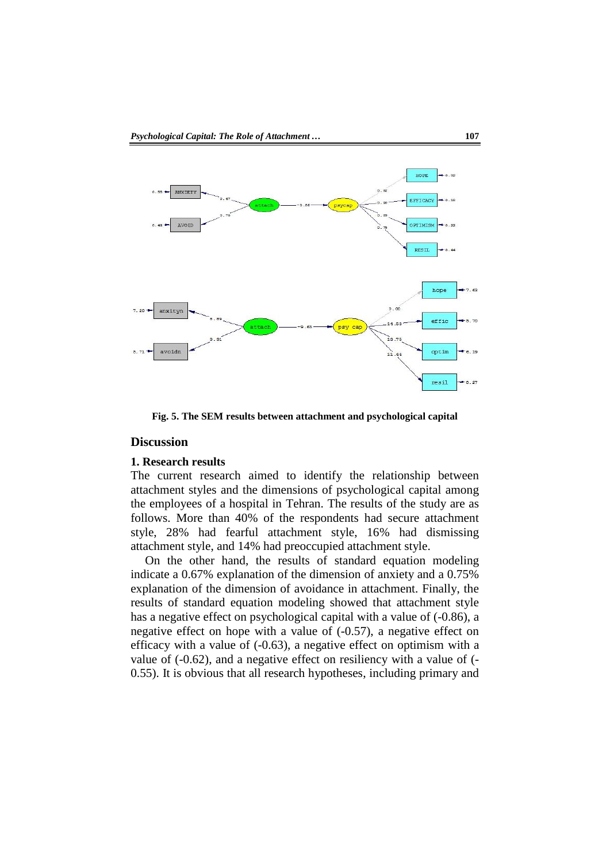

**Fig. 5. The SEM results between attachment and psychological capital**

## **Discussion**

#### **1. Research results**

The current research aimed to identify the relationship between attachment styles and the dimensions of psychological capital among the employees of a hospital in Tehran. The results of the study are as follows. More than 40% of the respondents had secure attachment style, 28% had fearful attachment style, 16% had dismissing attachment style, and 14% had preoccupied attachment style.

On the other hand, the results of standard equation modeling indicate a 0.67% explanation of the dimension of anxiety and a 0.75% explanation of the dimension of avoidance in attachment. Finally, the results of standard equation modeling showed that attachment style has a negative effect on psychological capital with a value of (-0.86), a negative effect on hope with a value of (-0.57), a negative effect on efficacy with a value of (-0.63), a negative effect on optimism with a value of (-0.62), and a negative effect on resiliency with a value of (- 0.55). It is obvious that all research hypotheses, including primary and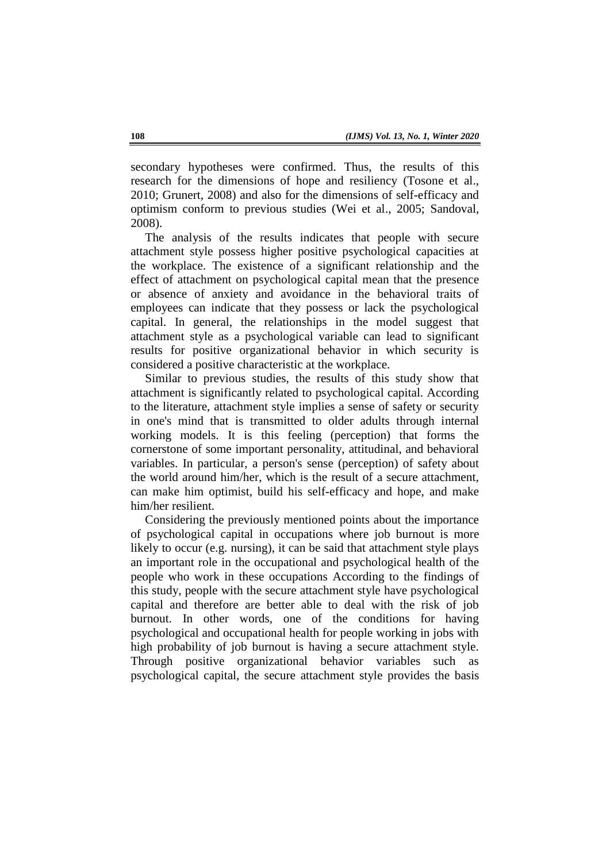secondary hypotheses were confirmed. Thus, the results of this research for the dimensions of hope and resiliency (Tosone et al., 2010; Grunert, 2008) and also for the dimensions of self-efficacy and optimism conform to previous studies (Wei et al., 2005; Sandoval, 2008).

The analysis of the results indicates that people with secure attachment style possess higher positive psychological capacities at the workplace. The existence of a significant relationship and the effect of attachment on psychological capital mean that the presence or absence of anxiety and avoidance in the behavioral traits of employees can indicate that they possess or lack the psychological capital. In general, the relationships in the model suggest that attachment style as a psychological variable can lead to significant results for positive organizational behavior in which security is considered a positive characteristic at the workplace.

Similar to previous studies, the results of this study show that attachment is significantly related to psychological capital. According to the literature, attachment style implies a sense of safety or security in one's mind that is transmitted to older adults through internal working models. It is this feeling (perception) that forms the cornerstone of some important personality, attitudinal, and behavioral variables. In particular, a person's sense (perception) of safety about the world around him/her, which is the result of a secure attachment, can make him optimist, build his self-efficacy and hope, and make him/her resilient.

Considering the previously mentioned points about the importance of psychological capital in occupations where job burnout is more likely to occur (e.g. nursing), it can be said that attachment style plays an important role in the occupational and psychological health of the people who work in these occupations According to the findings of this study, people with the secure attachment style have psychological capital and therefore are better able to deal with the risk of job burnout. In other words, one of the conditions for having psychological and occupational health for people working in jobs with high probability of job burnout is having a secure attachment style. Through positive organizational behavior variables such as psychological capital, the secure attachment style provides the basis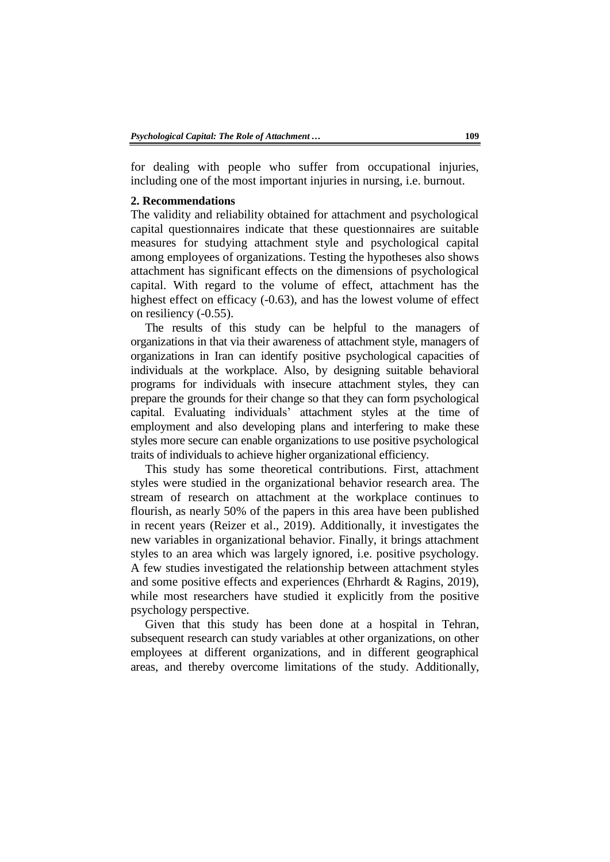for dealing with people who suffer from occupational injuries, including one of the most important injuries in nursing, i.e. burnout.

### **2. Recommendations**

The validity and reliability obtained for attachment and psychological capital questionnaires indicate that these questionnaires are suitable measures for studying attachment style and psychological capital among employees of organizations. Testing the hypotheses also shows attachment has significant effects on the dimensions of psychological capital. With regard to the volume of effect, attachment has the highest effect on efficacy (-0.63), and has the lowest volume of effect on resiliency (-0.55).

The results of this study can be helpful to the managers of organizations in that via their awareness of attachment style, managers of organizations in Iran can identify positive psychological capacities of individuals at the workplace. Also, by designing suitable behavioral programs for individuals with insecure attachment styles, they can prepare the grounds for their change so that they can form psychological capital. Evaluating individuals' attachment styles at the time of employment and also developing plans and interfering to make these styles more secure can enable organizations to use positive psychological traits of individuals to achieve higher organizational efficiency.

This study has some theoretical contributions. First, attachment styles were studied in the organizational behavior research area. The stream of research on attachment at the workplace continues to flourish, as nearly 50% of the papers in this area have been published in recent years (Reizer et al., 2019). Additionally, it investigates the new variables in organizational behavior. Finally, it brings attachment styles to an area which was largely ignored, i.e. positive psychology. A few studies investigated the relationship between attachment styles and some positive effects and experiences (Ehrhardt & Ragins, 2019), while most researchers have studied it explicitly from the positive psychology perspective.

Given that this study has been done at a hospital in Tehran, subsequent research can study variables at other organizations, on other employees at different organizations, and in different geographical areas, and thereby overcome limitations of the study. Additionally,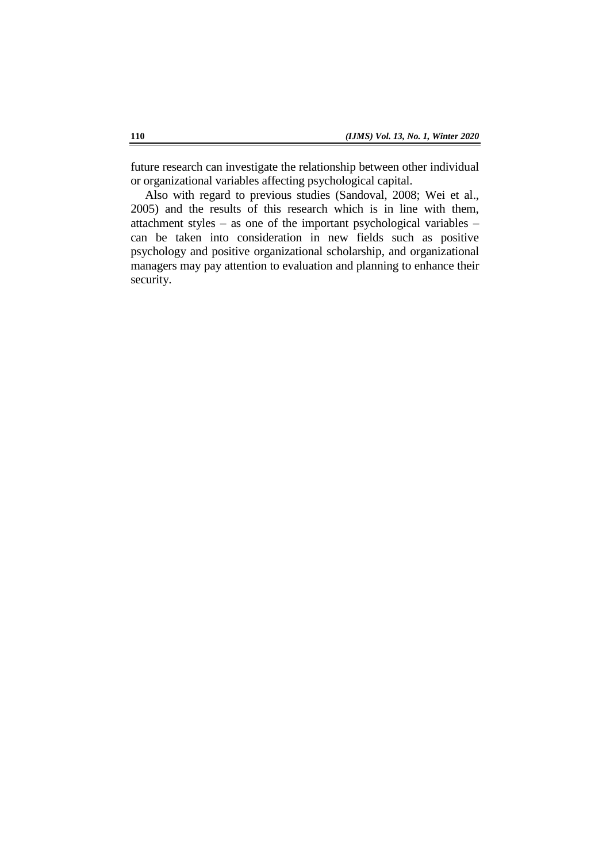future research can investigate the relationship between other individual or organizational variables affecting psychological capital.

Also with regard to previous studies (Sandoval, 2008; Wei et al., 2005) and the results of this research which is in line with them, attachment styles – as one of the important psychological variables – can be taken into consideration in new fields such as positive psychology and positive organizational scholarship, and organizational managers may pay attention to evaluation and planning to enhance their security.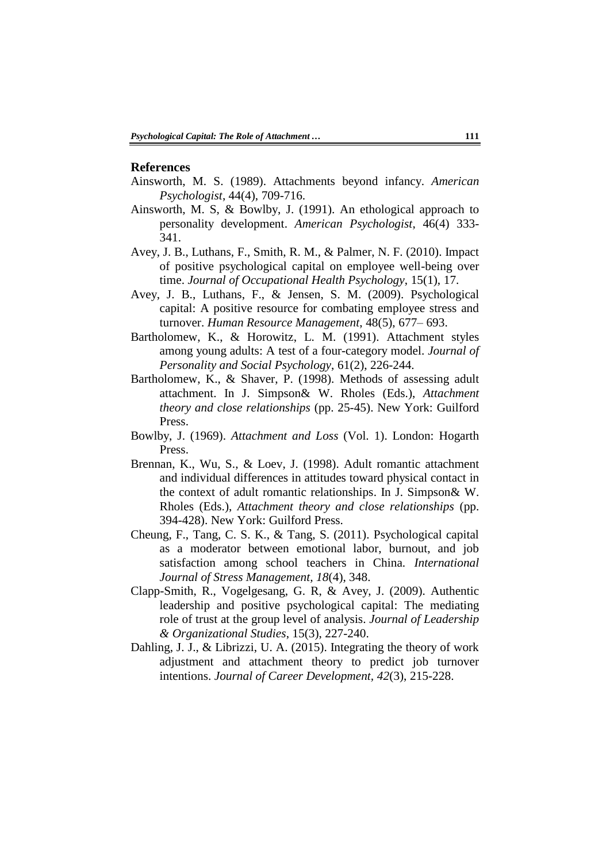#### **References**

- Ainsworth, M. S. (1989). Attachments beyond infancy. *American Psychologist*, 44(4), 709-716.
- Ainsworth, M. S, & Bowlby, J. (1991). An ethological approach to personality development. *American Psychologist*, 46(4) 333- 341.
- Avey, J. B., Luthans, F., Smith, R. M., & Palmer, N. F. (2010). Impact of positive psychological capital on employee well-being over time. *Journal of Occupational Health Psychology*, 15(1), 17.
- Avey, J. B., Luthans, F., & Jensen, S. M. (2009). Psychological capital: A positive resource for combating employee stress and turnover. *Human Resource Management*, 48(5), 677– 693.
- Bartholomew, K., & Horowitz, L. M. (1991). Attachment styles among young adults: A test of a four-category model. *Journal of Personality and Social Psychology*, 61(2), 226-244.
- Bartholomew, K., & Shaver, P. (1998). Methods of assessing adult attachment. In J. Simpson& W. Rholes (Eds.), *Attachment theory and close relationships* (pp. 25-45). New York: Guilford Press.
- Bowlby, J. (1969). *Attachment and Loss* (Vol. 1). London: Hogarth Press.
- Brennan, K., Wu, S., & Loev, J. (1998). Adult romantic attachment and individual differences in attitudes toward physical contact in the context of adult romantic relationships. In J. Simpson& W. Rholes (Eds.), *Attachment theory and close relationships* (pp. 394-428). New York: Guilford Press.
- Cheung, F., Tang, C. S. K., & Tang, S. (2011). Psychological capital as a moderator between emotional labor, burnout, and job satisfaction among school teachers in China. *International Journal of Stress Management, 18*(4), 348.
- Clapp-Smith, R., Vogelgesang, G. R, & Avey, J. (2009). Authentic leadership and positive psychological capital: The mediating role of trust at the group level of analysis. *Journal of Leadership & Organizational Studies*, 15(3), 227-240.
- Dahling, J. J., & Librizzi, U. A. (2015). Integrating the theory of work adjustment and attachment theory to predict job turnover intentions. *Journal of Career Development, 42*(3), 215-228.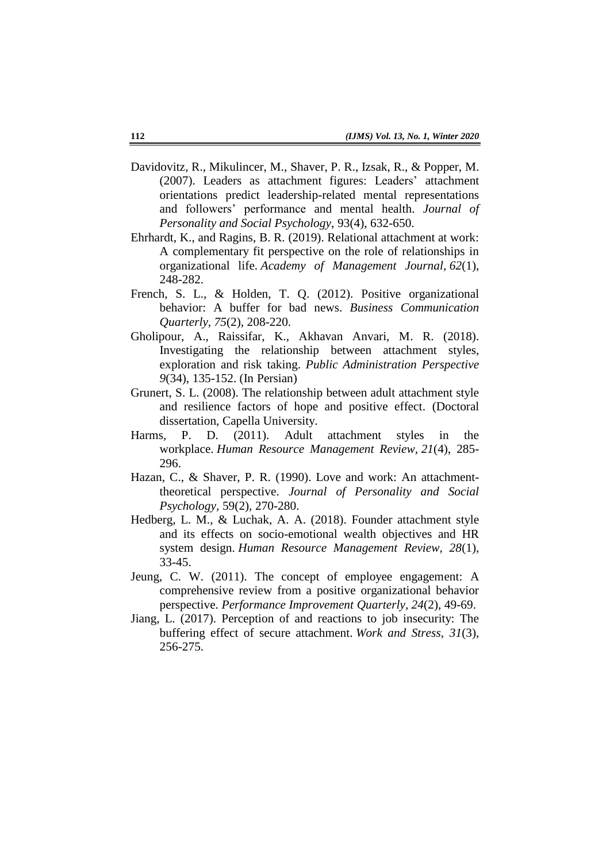- Davidovitz, R., Mikulincer, M., Shaver, P. R., Izsak, R., & Popper, M. (2007). Leaders as attachment figures: Leaders' attachment orientations predict leadership-related mental representations and followers' performance and mental health. *Journal of Personality and Social Psychology*, 93(4), 632-650.
- Ehrhardt, K., and Ragins, B. R. (2019). Relational attachment at work: A complementary fit perspective on the role of relationships in organizational life. *Academy of Management Journal, 62*(1), 248-282.
- French, S. L., & Holden, T. Q. (2012). Positive organizational behavior: A buffer for bad news. *Business Communication Quarterly, 75*(2), 208-220.
- Gholipour, A., Raissifar, K., Akhavan Anvari, M. R. (2018). Investigating the relationship between attachment styles, exploration and risk taking. *Public Administration Perspective 9*(34), 135-152. (In Persian)
- Grunert, S. L. (2008). The relationship between adult attachment style and resilience factors of hope and positive effect. (Doctoral dissertation, Capella University.
- Harms, P. D. (2011). Adult attachment styles in the workplace. *Human Resource Management Review, 21*(4), 285- 296.
- Hazan, C., & Shaver, P. R. (1990). Love and work: An attachmenttheoretical perspective. *Journal of Personality and Social Psychology,* 59(2), 270-280.
- Hedberg, L. M., & Luchak, A. A. (2018). Founder attachment style and its effects on socio-emotional wealth objectives and HR system design. *Human Resource Management Review, 28*(1), 33-45.
- Jeung, C. W. (2011). The concept of employee engagement: A comprehensive review from a positive organizational behavior perspective. *Performance Improvement Quarterly, 24*(2), 49-69.
- Jiang, L. (2017). Perception of and reactions to job insecurity: The buffering effect of secure attachment. *Work and Stress, 31*(3), 256-275.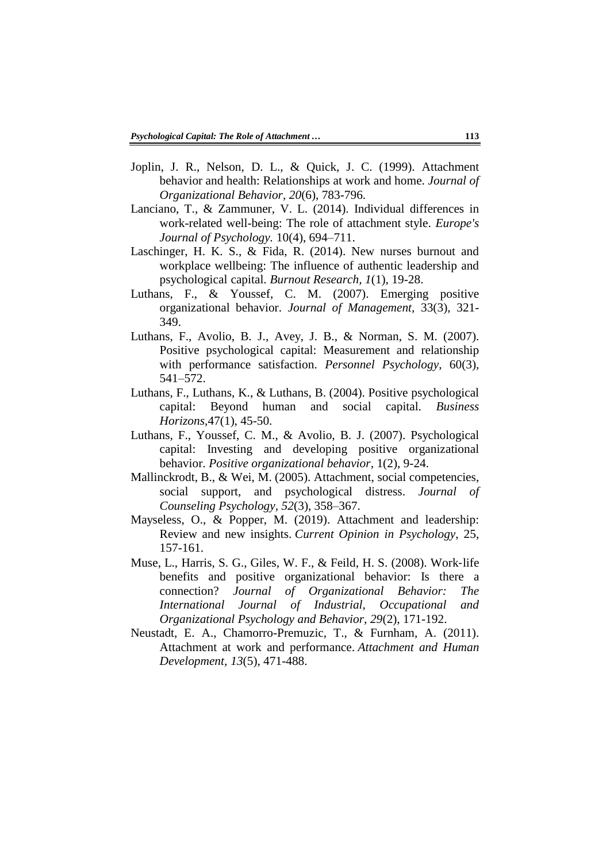- Joplin, J. R., Nelson, D. L., & Quick, J. C. (1999). Attachment behavior and health: Relationships at work and home. *Journal of Organizational Behavior, 20*(6), 783-796.
- Lanciano, T., & Zammuner, V. L. (2014). Individual differences in work-related well-being: The role of attachment style. *Europe's Journal of Psychology.* 10(4), 694–711.
- Laschinger, H. K. S., & Fida, R. (2014). New nurses burnout and workplace wellbeing: The influence of authentic leadership and psychological capital. *Burnout Research, 1*(1), 19-28.
- Luthans, F., & Youssef, C. M. (2007). Emerging positive organizational behavior. *Journal of Management,* 33(3), 321- 349.
- Luthans, F., Avolio, B. J., Avey, J. B., & Norman, S. M. (2007). Positive psychological capital: Measurement and relationship with performance satisfaction. *Personnel Psychology*, 60(3), 541–572.
- Luthans, F., Luthans, K., & Luthans, B. (2004). Positive psychological capital: Beyond human and social capital*. Business Horizons*,47(1), 45-50.
- Luthans, F., Youssef, C. M., & Avolio, B. J. (2007). Psychological capital: Investing and developing positive organizational behavior. *Positive organizational behavior*, 1(2), 9-24.
- Mallinckrodt, B., & Wei, M. (2005). Attachment, social competencies, social support, and psychological distress. *Journal of Counseling Psychology, 52*(3), 358–367.
- Mayseless, O., & Popper, M. (2019). Attachment and leadership: Review and new insights. *Current Opinion in Psychology*, 25, 157-161.
- Muse, L., Harris, S. G., Giles, W. F., & Feild, H. S. (2008). Work‐life benefits and positive organizational behavior: Is there a connection? *Journal of Organizational Behavior: The International Journal of Industrial, Occupational and Organizational Psychology and Behavior, 29*(2), 171-192.
- Neustadt, E. A., Chamorro-Premuzic, T., & Furnham, A. (2011). Attachment at work and performance. *Attachment and Human Development, 13*(5), 471-488.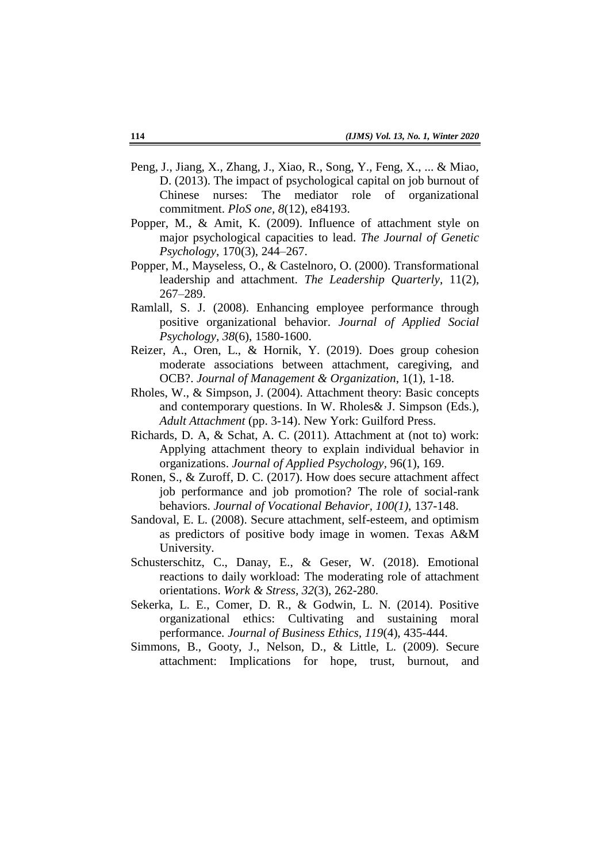- Peng, J., Jiang, X., Zhang, J., Xiao, R., Song, Y., Feng, X., ... & Miao, D. (2013). The impact of psychological capital on job burnout of Chinese nurses: The mediator role of organizational commitment. *PloS one, 8*(12), e84193.
- Popper, M., & Amit, K. (2009). Influence of attachment style on major psychological capacities to lead. *The Journal of Genetic Psychology*, 170(3), 244–267.
- Popper, M., Mayseless, O., & Castelnoro, O. (2000). Transformational leadership and attachment. *The Leadership Quarterly*, 11(2), 267–289.
- Ramlall, S. J. (2008). Enhancing employee performance through positive organizational behavior. *Journal of Applied Social Psychology, 38*(6), 1580-1600.
- Reizer, A., Oren, L., & Hornik, Y. (2019). Does group cohesion moderate associations between attachment, caregiving, and OCB?. *Journal of Management & Organization*, 1(1), 1-18.
- Rholes, W., & Simpson, J. (2004). Attachment theory: Basic concepts and contemporary questions. In W. Rholes& J. Simpson (Eds.), *Adult Attachment* (pp. 3-14). New York: Guilford Press.
- Richards, D. A, & Schat, A. C. (2011). Attachment at (not to) work: Applying attachment theory to explain individual behavior in organizations. *Journal of Applied Psychology,* 96(1), 169.
- Ronen, S., & Zuroff, D. C. (2017). How does secure attachment affect job performance and job promotion? The role of social-rank behaviors. *Journal of Vocational Behavior, 100(1)*, 137-148.
- Sandoval, E. L. (2008). Secure attachment, self-esteem, and optimism as predictors of positive body image in women. Texas A&M University.
- Schusterschitz, C., Danay, E., & Geser, W. (2018). Emotional reactions to daily workload: The moderating role of attachment orientations. *Work & Stress, 32*(3), 262-280.
- Sekerka, L. E., Comer, D. R., & Godwin, L. N. (2014). Positive organizational ethics: Cultivating and sustaining moral performance. *Journal of Business Ethics, 119*(4), 435-444.
- Simmons, B., Gooty, J., Nelson, D., & Little, L. (2009). Secure attachment: Implications for hope, trust, burnout, and